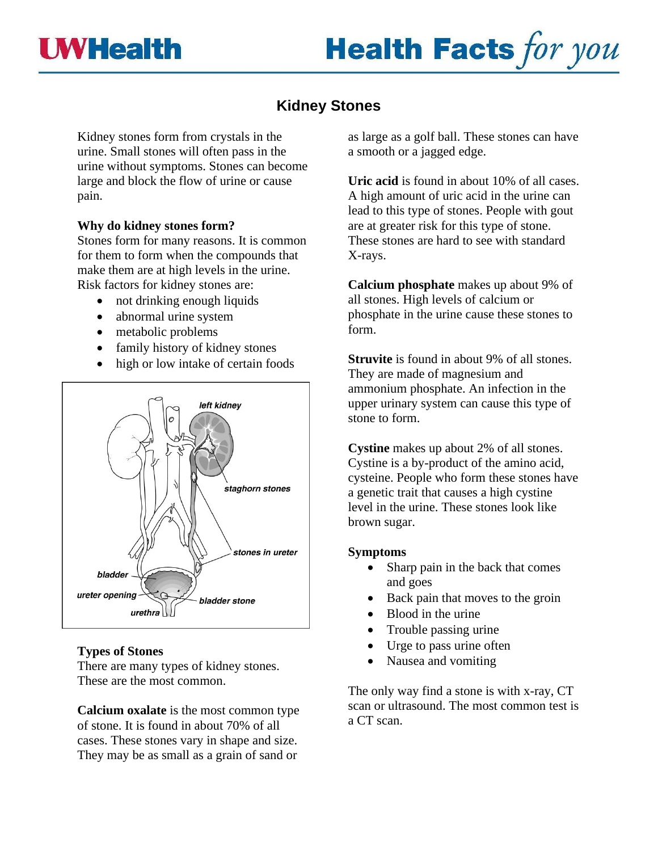

# **Health Facts for you**

# **Kidney Stones**

Kidney stones form from crystals in the urine. Small stones will often pass in the urine without symptoms. Stones can become large and block the flow of urine or cause pain.

# **Why do kidney stones form?**

Stones form for many reasons. It is common for them to form when the compounds that make them are at high levels in the urine. Risk factors for kidney stones are:

- not drinking enough liquids
- abnormal urine system
- metabolic problems
- family history of kidney stones
- high or low intake of certain foods



# **Types of Stones**

There are many types of kidney stones. These are the most common.

**Calcium oxalate** is the most common type of stone. It is found in about 70% of all cases. These stones vary in shape and size. They may be as small as a grain of sand or

as large as a golf ball. These stones can have a smooth or a jagged edge.

**Uric acid** is found in about 10% of all cases. A high amount of uric acid in the urine can lead to this type of stones. People with gout are at greater risk for this type of stone. These stones are hard to see with standard X-rays.

**Calcium phosphate** makes up about 9% of all stones. High levels of calcium or phosphate in the urine cause these stones to form.

**Struvite** is found in about 9% of all stones. They are made of magnesium and ammonium phosphate. An infection in the upper urinary system can cause this type of stone to form.

**Cystine** makes up about 2% of all stones. Cystine is a by-product of the amino acid, cysteine. People who form these stones have a genetic trait that causes a high cystine level in the urine. These stones look like brown sugar.

## **Symptoms**

- Sharp pain in the back that comes and goes
- Back pain that moves to the groin
- Blood in the urine
- Trouble passing urine
- Urge to pass urine often
- Nausea and vomiting

The only way find a stone is with x-ray, CT scan or ultrasound. The most common test is a CT scan.